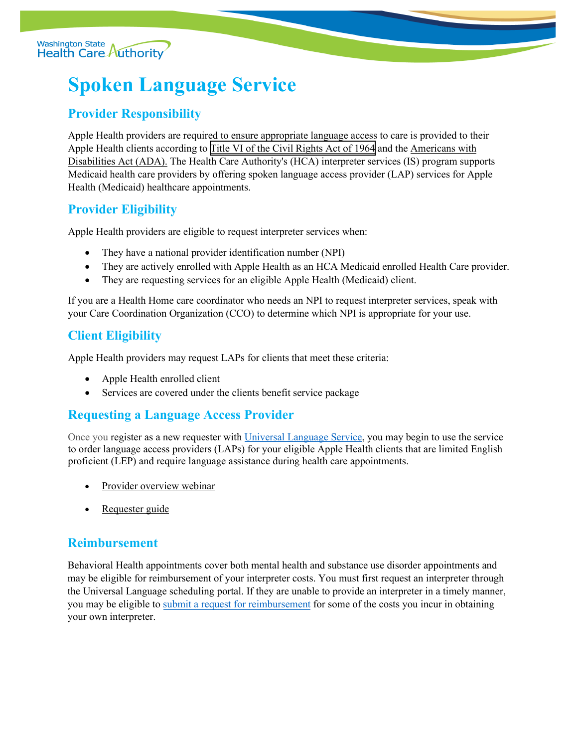# **Spoken Language Service**

## **Provider Responsibility**

Apple Health providers are required to ensure appropriate language access to care is provided to their Apple Health clients according to [Title VI of the Civil Rights Act of 1964](https://www.hhs.gov/civil-rights/for-providers/provider-obligations/index.html) and the [Americans with](http://www.ada.gov/pubs/adastatute08.htm)  [Disabilities Act \(ADA\).](http://www.ada.gov/pubs/adastatute08.htm) The Health Care Authority's (HCA) interpreter services (IS) program supports Medicaid health care providers by offering spoken language access provider (LAP) services for Apple Health (Medicaid) healthcare appointments.

### **Provider Eligibility**

Apple Health providers are eligible to request interpreter services when:

- They have a national provider identification number (NPI)
- They are actively enrolled with Apple Health as an HCA Medicaid enrolled Health Care provider.
- They are requesting services for an eligible Apple Health (Medicaid) client.

If you are a Health Home care coordinator who needs an NPI to request interpreter services, speak with your Care Coordination Organization (CCO) to determine which NPI is appropriate for your use.

#### **Client Eligibility**

Apple Health providers may request LAPs for clients that meet these criteria:

- Apple Health enrolled client
- Services are covered under the clients benefit service package

#### **Requesting a Language Access Provider**

Once you register as a new requester with [Universal Language Service,](https://hcauniversal.com/) you may begin to use the service to order language access providers (LAPs) for your eligible Apple Health clients that are limited English proficient (LEP) and require language assistance during health care appointments.

- [Provider overview webinar](https://hcauniversal.com/webinars-2/)
- [Requester guide](https://hcauniversal.com/requester-guides/)

#### **Reimbursement**

Behavioral Health appointments cover both mental health and substance use disorder appointments and may be eligible for reimbursement of your interpreter costs. You must first request an interpreter through the Universal Language scheduling portal. If they are unable to provide an interpreter in a timely manner, you may be eligible to submit a request for [reimbursement](https://www.hca.wa.gov/assets/billers-and-providers/Provider-Spoken-Language-Reimbursement-Guide.pptx) for some of the costs you incur in obtaining your o[wn interpreter.](https://www.hca.wa.gov/assets/billers-and-providers/bh-provider-reimbursement-spoken-language-interpreter-faq.pdf)